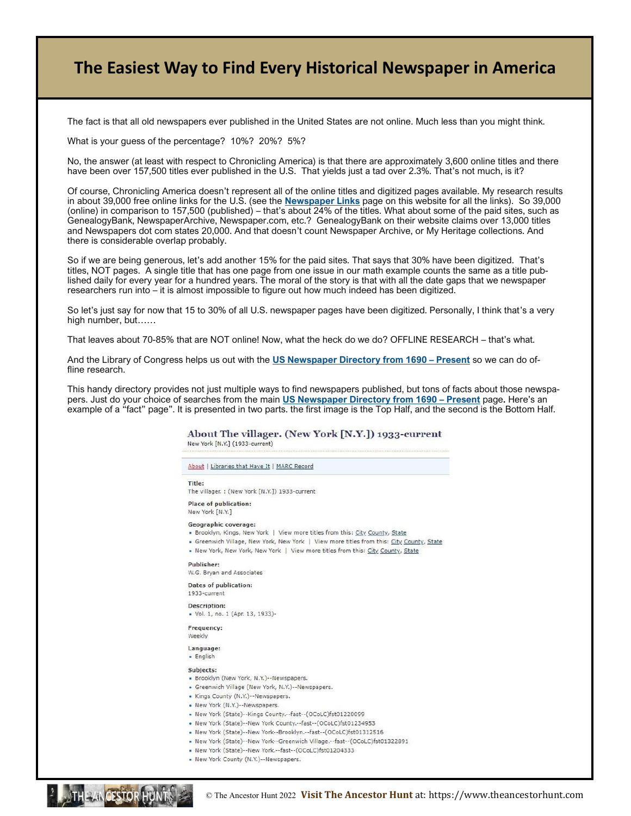# **The Easiest Way to Find Every Historical Newspaper in America**

The fact is that all old newspapers ever published in the United States are not online. Much less than you might think.

What is your guess of the percentage? 10%? 20%? 5%?

No, the answer (at least with respect to Chronicling America) is that there are approximately 3,600 online titles and there have been over 157,500 titles ever published in the U.S. That yields just a tad over 2.3%. That's not much, is it?

Of course, Chronicling America doesn't represent all of the online titles and digitized pages available. My research results in about 39,000 free online links for the U.S. (see the **[Newspaper Links](https://theancestorhunt.com/newspaper-research-links.html)** page on this website for all the links). So 39,000 (online) in comparison to 157,500 (published) – that's about 24% of the titles. What about some of the paid sites, such as GenealogyBank, NewspaperArchive, Newspaper.com, etc.? GenealogyBank on their website claims over 13,000 titles and Newspapers dot com states 20,000. And that doesn't count Newspaper Archive, or My Heritage collections. And there is considerable overlap probably.

So if we are being generous, let's add another 15% for the paid sites. That says that 30% have been digitized. That's titles, NOT pages. A single title that has one page from one issue in our math example counts the same as a title published daily for every year for a hundred years. The moral of the story is that with all the date gaps that we newspaper researchers run into – it is almost impossible to figure out how much indeed has been digitized.

So let's just say for now that 15 to 30% of all U.S. newspaper pages have been digitized. Personally, I think that's a very high number, but……

That leaves about 70-85% that are NOT online! Now, what the heck do we do? OFFLINE RESEARCH – that's what.

And the Library of Congress helps us out with the **[US Newspaper Directory from 1690 –](http://chroniclingamerica.loc.gov/search/titles/) Present** so we can do offline research.

This handy directory provides not just multiple ways to find newspapers published, but tons of facts about those newspapers. Just do your choice of searches from the main **[US Newspaper Directory from 1690 –](http://chroniclingamerica.loc.gov/search/titles/) Present** page**.** Here's an example of a "fact" page". It is presented in two parts. the first image is the Top Half, and the second is the Bottom Half.

> About The villager. (New York [N.Y.]) 1933-current New York [N.Y.] (1933-current)

About | Libraries that Have It | MARC Record Title: The villager: (New York (N.Y.1) 1933-current Place of publication: New York [N.Y.] Geographic coverage: . Brooklyn, Kings, New York | View more titles from this: City County, State • Greenwich Village, New York, New York | View more titles from this: City County, State . New York, New York, New York | View more titles from this: City County, State Publisher: W.G. Brvan and Associates **Dates of publication:** 1933-current Description: • Vol. 1, no. 1 (Apr. 13, 1933)-Frequency: Weekly Language: · English Subjects: · Brooklyn (New York, N.Y.)--Newspapers. • Greenwich Village (New York, N.Y.)--Newspapers. • Kings County (N.Y.)--Newspapers. • New York (N.Y.)--Newspapers. . New York (State)--Kings County.--fast--(OCoLC)fst01220099 • New York (State)--New York County.--fast--(OCoLC)fst01234953 . New York (State) -- New York -- Brooklyn .-- fast -- (OCoLC) fst01312516

. New York (State)--New York--Greenwich Village.--fast--(OCoLC)fst01322891

© The Ancestor Hunt 2022 **Visit The Ancestor Hunt** at: https://www.theancestorhunt.com

- . New York (State)--New York.--fast--(OCoLC)fst01204333
- New York County (N.Y.)--Newspapers.

THE AN CESTOR HUN